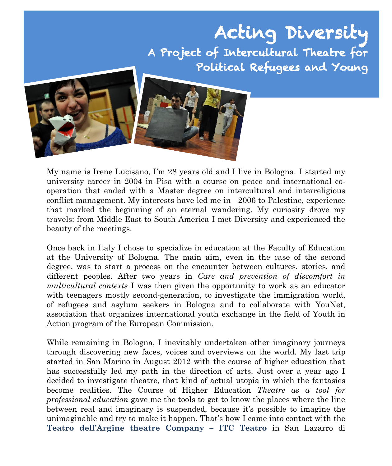# Acting Diversity A Project of Intercultural Theatre for Political Refugees and Young



My name is Irene Lucisano, I'm 28 years old and I live in Bologna. I started my university career in 2004 in Pisa with a course on peace and international cooperation that ended with a Master degree on intercultural and interreligious conflict management. My interests have led me in 2006 to Palestine, experience that marked the beginning of an eternal wandering. My curiosity drove my travels: from Middle East to South America I met Diversity and experienced the beauty of the meetings.

Once back in Italy I chose to specialize in education at the Faculty of Education at the University of Bologna. The main aim, even in the case of the second degree, was to start a process on the encounter between cultures, stories, and different peoples. After two years in *Care and prevention of discomfort in multicultural contexts* I was then given the opportunity to work as an educator with teenagers mostly second-generation, to investigate the immigration world, of refugees and asylum seekers in Bologna and to collaborate with YouNet, association that organizes international youth exchange in the field of Youth in Action program of the European Commission.

While remaining in Bologna, I inevitably undertaken other imaginary journeys through discovering new faces, voices and overviews on the world. My last trip started in San Marino in August 2012 with the course of higher education that has successfully led my path in the direction of arts. Just over a year ago I decided to investigate theatre, that kind of actual utopia in which the fantasies become realities. The Course of Higher Education *Theatre as a tool for professional education* gave me the tools to get to know the places where the line between real and imaginary is suspended, because it's possible to imagine the unimaginable and try to make it happen. That's how I came into contact with the **Teatro dell'Argine theatre Company – ITC Teatro** in San Lazarro di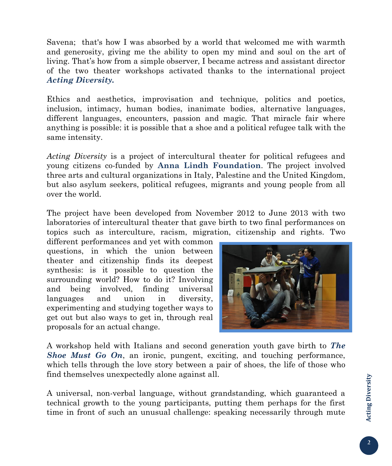Savena; that's how I was absorbed by a world that welcomed me with warmth and generosity, giving me the ability to open my mind and soul on the art of living. That's how from a simple observer, I became actress and assistant director of the two theater workshops activated thanks to the international project *Acting Diversity.*

Ethics and aesthetics, improvisation and technique, politics and poetics, inclusion, intimacy, human bodies, inanimate bodies, alternative languages, different languages, encounters, passion and magic. That miracle fair where anything is possible: it is possible that a shoe and a political refugee talk with the same intensity.

*Acting Diversity* is a project of intercultural theater for political refugees and young citizens co-funded by **Anna Lindh Foundation**. The project involved three arts and cultural organizations in Italy, Palestine and the United Kingdom, but also asylum seekers, political refugees, migrants and young people from all over the world.

The project have been developed from November 2012 to June 2013 with two laboratories of intercultural theater that gave birth to two final performances on topics such as interculture, racism, migration, citizenship and rights. Two

different performances and yet with common questions, in which the union between theater and citizenship finds its deepest synthesis: is it possible to question the surrounding world? How to do it? Involving and being involved, finding universal languages and union in diversity, experimenting and studying together ways to get out but also ways to get in, through real proposals for an actual change.



A workshop held with Italians and second generation youth gave birth to *The Shoe Must Go On*, an ironic, pungent, exciting, and touching performance, which tells through the love story between a pair of shoes, the life of those who find themselves unexpectedly alone against all.

A universal, non-verbal language, without grandstanding, which guaranteed a technical growth to the young participants, putting them perhaps for the first time in front of such an unusual challenge: speaking necessarily through mute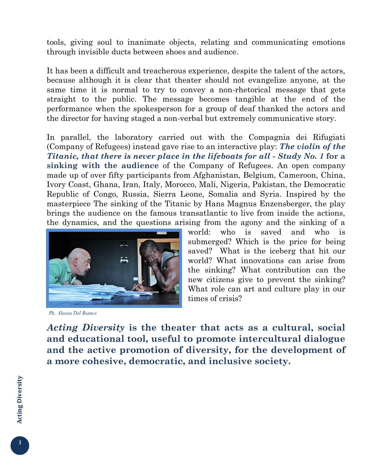tools, giving soul to inanimate objects, relating and communicating emotions through invisible ducts between shoes and audience.

It has been a difficult and treacherous experience, despite the talent of the actors, because although it is clear that theater should not evangelize anyone, at the same time it is normal to try to convey a non-rhetorical message that gets straight to the public. The message becomes tangible at the end of the performance when the spokesperson for a group of deaf thanked the actors and the director for having staged a non-verbal but extremely communicative story.

In parallel, the laboratory carried out with the Compagnia dei Rifugiati (Company of Refugees) instead gave rise to an interactive play: *The violin of the Titanic, that there is never place in the lifeboats for all - Study No. 1* **for a sinking with the audience** of the Company of Refugees. An open company made up of over fifty participants from Afghanistan, Belgium, Cameroon, China, Ivory Coast, Ghana, Iran, Italy, Morocco, Mali, Nigeria, Pakistan, the Democratic Republic of Congo, Russia, Sierra Leone, Somalia and Syria. Inspired by the masterpiece The sinking of the Titanic by Hans Magnus Enzensberger, the play brings the audience on the famous transatlantic to live from inside the actions, the dynamics, and the questions arising from the agony and the sinking of a



*Ph. Alessia Del Bianco*

world: who is saved and who is submerged? Which is the price for being saved? What is the iceberg that hit our world? What innovations can arise from the sinking? What contribution can the new citizens give to prevent the sinking? What role can art and culture play in our times of crisis?

*Acting Diversity* **is the theater that acts as a cultural, social and educational tool, useful to promote intercultural dialogue and the active promotion of diversity, for the development of a more cohesive, democratic, and inclusive society.**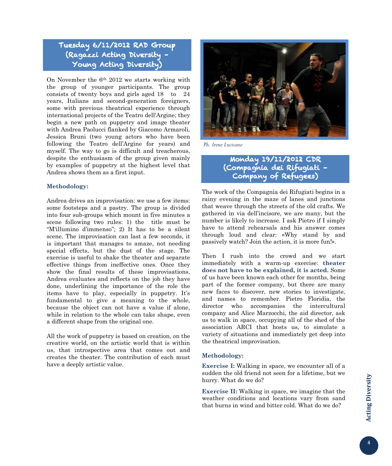#### Tuesday 6/11/2012 RAD Group (Ragazzi Acting Diversity – Young Acting Diversity)

On November the  $6<sup>th</sup>$  2012 we starts working with the group of younger participants. The group consists of twenty boys and girls aged 18 to 24 years, Italians and second-generation foreigners, some with previous theatrical experience through international projects of the Teatro dell'Argine; they begin a new path on puppetry and image theater with Andrea Paolucci flanked by Giacomo Armaroli, Jessica Bruni (two young actors who have been following the Teatro dell'Argine for years) and myself. The way to go is difficult and treacherous, despite the enthusiasm of the group given mainly by examples of puppetry at the highest level that Andrea shows them as a first input.

#### **Methodology:**

Andrea drives an improvisation: we use a few items: some footsteps and a pastry. The group is divided into four sub-groups which mount in five minutes a scene following two rules: 1) the title must be "M'illumino d'immenso"; 2) It has to be a silent scene. The improvisation can last a few seconds, it is important that manages to amaze, not needing special effects, but the dust of the stage. The exercise is useful to shake the theater and separate effective things from ineffective ones. Once they show the final results of these improvisations, Andrea evaluates and reflects on the job they have done, underlining the importance of the role the items have to play, especially in puppetry. It's fundamental to give a meaning to the whole, because the object can not have a value if alone, while in relation to the whole can take shape, even a different shape from the original one.

All the work of puppetry is based on creation, on the creative world, on the artistic world that is within us, that introspective area that comes out and creates the theater. The contribution of each must have a deeply artistic value.



*Ph. Irene Lucisano*

(Compagnia dei Rifugiati -Monday 19/11/2012 CDR Company of Refugees)

The work of the Compagnia dei Rifugiati begins in a rainy evening in the maze of lanes and junctions that weave through the streets of the old crafts. We gathered in via dell'incisore, we are many, but the number is likely to increase. I ask Pietro if I simply have to attend rehearsals and his answer comes through loud and clear: «Why stand by and passively watch? Join the action, it is more fun!».

Then I rush into the crowd and we start immediately with a warm-up exercise: **theater does not have to be explained, it is acted.** Some of us have been known each other for months, being part of the former company, but there are many new faces to discover, new stories to investigate, and names to remember. Pietro Floridia, the director who accompanies the intercultural company and Alice Marzocchi, the aid director, ask us to walk in space, occupying all of the shed of the association ARCI that hosts us, to simulate a variety of situations and immediately get deep into the theatrical improvisation.

#### **Methodology:**

**Exercise I:** Walking in space, we encounter all of a sudden the old friend not seen for a lifetime, but we hurry. What do we do?

**Exercise II:** Walking in space, we imagine that the weather conditions and locations vary from sand that burns in wind and bitter cold. What do we do?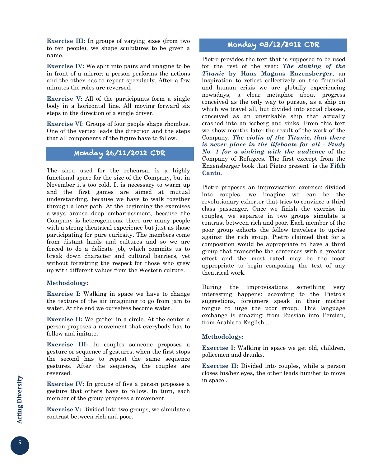**Exercise III:** In groups of varying sizes (from two to ten people), we shape sculptures to be given a name.

**Exercise IV:** We split into pairs and imagine to be in front of a mirror: a person performs the actions and the other has to repeat specularly. After a few minutes the roles are reversed.

**Exercise V:** All of the participants form a single body in a horizontal line. All moving forward six steps in the direction of a single driver.

**Exercise VI**: Groups of four people shape rhombus. One of the vertex leads the direction and the steps that all components of the figure have to follow.

#### Monday 26/11/2012 CDR

The shed used for the rehearsal is a highly functional space for the size of the Company, but in November it's too cold. It is necessary to warm up and the first games are aimed at mutual understanding, because we have to walk together through a long path. At the beginning the exercises always arouse deep embarrassment, because the Company is heterogeneous: there are many people with a strong theatrical experience but just as those participating for pure curiosity. The members come from distant lands and cultures and so we are forced to do a delicate job, which commits us to break down character and cultural barriers, yet without forgetting the respect for those who grew up with different values from the Western culture.

#### **Methodology:**

**Exercise I:** Walking in space we have to change the texture of the air imagining to go from jam to water. At the end we ourselves become water.

**Exercise II:** We gather in a circle. At the center a person proposes a movement that everybody has to follow and imitate.

**Exercise III:** In couples someone proposes a gesture or sequence of gestures; when the first stops the second has to repeat the same sequence gestures. After the sequence, the couples are reversed.

**Exercise IV:** In groups of five a person proposes a gesture that others have to follow. In turn, each member of the group proposes a movement.

**Exercise V:** Divided into two groups, we simulate a contrast between rich and poor.

# Monday 03/12/2012 CDR

Pietro provides the text that is supposed to be used for the rest of the year: *The sinking of the Titanic* **by Hans Magnus Enzensberger,** an inspiration to reflect collectively on the financial and human crisis we are globally experiencing nowadays, a clear metaphor about progress conceived as the only way to pursue, as a ship on which we travel all, but divided into social classes, conceived as an unsinkable ship that actually crashed into an iceberg and sinks. From this text we show months later the result of the work of the Company: *The violin of the Titanic, that there is never place in the lifeboats for all - Study No. 1 for a sinking with the audience* of the Company of Refugees. The first excerpt from the Enzensberger book that Pietro present is the **Fifth Canto.**

Pietro proposes an improvisation exercise: divided into couples, we imagine we can be the revolutionary exhorter that tries to convince a third class passenger. Once we finish the exercise in couples, we separate in two groups simulate a contrast between rich and poor. Each member of the poor group exhorts the fellow travelers to uprise against the rich group. Pietro claimed that for a composition would be appropriate to have a third group that transcribe the sentences with a greater effect and the most rated may be the most appropriate to begin composing the text of any theatrical work.

During the improvisations something very interesting happens: according to the Pietro's suggestions, foreigners speak in their mother tongue to urge the poor group. This language exchange is amazing: from Russian into Persian, from Arabic to English...

#### **Methodology:**

**Exercise I:** Walking in space we get old, children, policemen and drunks.

**Exercise II:** Divided into couples, while a person closes his/her eyes, the other leads him/her to move in space .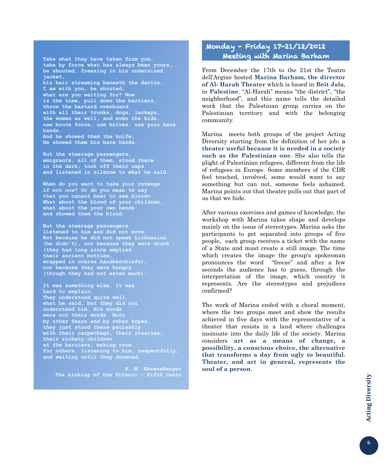**Take what they have taken from you, take by force what has always been yours, he shouted, freezing in his undersized jacket, his hair streaming beneath the davits, I am with you, he shouted, what are you waiting for? Now is the time, pull down the barriers, throw the bastard overboard with all their trunks, dogs, lackeys, the women as well, and even the kids, use brute force, use knives, use your bare hands. And he showed them the knife, He showed them his bare hands.**

**But the steerage passengers, emigrants, all of them, stood there in the dark, took off their caps and listened in silence to what he said.**

**When do you want to take your revenge if not now? Or do you mean to say that you cannot bear to see blood= What about the blood of your children, what about the your own hands and showed them the blood.**

**But the steerage passengers listened to him and did not move. Not because he did not speak Lithuanian (he didn't), nor because they were drunk (they had long since emptied their ancient bottles, wrapped in coarse handkerchiefs), nor because they were hungry (though they had not eaten much):**

**It was something else. It was hard to explain. They understood quite well what he said, but they did not understand him. His words were not their words. Worn by other fears and by other hopes, they just stood there patiently with their carpetbags, their rosaries, at the barriers, making room for others, listening to him, respectfully, and waiting until they drowned.**

*H. M. Enzensberger The sinking of the Titanic - Fifth Canto*

### Monday - Friday 17-21/12/2012 Meeting with Marina Barham

From December the 17th to the 21st the Teatro dell'Argine hosted **Marina Barham, the director of Al- Harah Theater** which is based in **Beit Jala**, in **Palestine**. "Al-Harah" means "the district", "the neighborhood", and this name tells the detailed work that the Palestinan group carries on the Palestinian territory and with the belonging community.

Marina meets both groups of the project Acting Diversity starting from the definition of her job**: a theater useful because it is needed in a society such as the Palestinian one**. She also tells the plight of Palestinian refugees, different from the life of refugees in Europe. Some members of the CDR feel touched, involved, some would want to say something but can not, someone feels ashamed. Marina points out that theater pulls out that part of us that we hide.

After various exercises and games of knowledge, the workshop with Marina takes shape and develops mainly on the issue of stereotypes. Marina asks the participants to get separated into groups of five people, each group receives a ticket with the name of a State and must create a still image. The time which creates the image the group's spokesman pronounces the word "freeze" and after a few seconds the audience has to guess, through the interpretation of the image, which country it represents. Are the stereotypes and prejudices confirmed?

The work of Marina ended with a choral moment, where the two groups meet and show the results achieved in five days with the representative of a theater that resists in a land where challenges insinuate into the daily life of the society. Marina considers **art as a means of change, a possibility, a conscious choice, the alternative that transforms a day from ugly to beautiful. Theater, and art in general, represents the soul of a person.**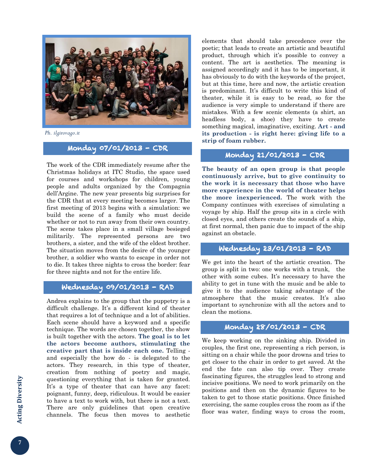

*Ph. ilgirovago.it*

# Monday 07/01/2013 - CDR

The work of the CDR immediately resume after the Christmas holidays at ITC Studio, the space used for courses and workshops for children, young people and adults organized by the Compagnia dell'Argine. The new year presents big surprises for the CDR that at every meeting becomes larger. The first meeting of 2013 begins with a simulation: we build the scene of a family who must decide whether or not to run away from their own country. The scene takes place in a small village besieged militarily. The represented persons are two brothers, a sister, and the wife of the eldest brother. The situation moves from the desire of the younger brother, a soldier who wants to escape in order not to die. It takes three nights to cross the border: fear for three nights and not for the entire life.

# Wednesday 09/01/2013 - RAD

Andrea explains to the group that the puppetry is a difficult challenge. It's a different kind of theater that requires a lot of technique and a lot of abilities. Each scene should have a keyword and a specific technique. The words are chosen together, the show is built together with the actors. **The goal is to let the actors become authors, stimulating the creative part that is inside each one.** Telling and especially the how do - is delegated to the actors. They research, in this type of theater, creation from nothing of poetry and magic, questioning everything that is taken for granted. It's a type of theater that can have any facet: poignant, funny, deep, ridiculous. It would be easier to have a text to work with, but there is not a text. There are only guidelines that open creative channels. The focus then moves to aesthetic

elements that should take precedence over the poetic; that leads to create an artistic and beautiful product, through which it's possible to convey a content. The art is aesthetics. The meaning is assigned accordingly and it has to be important, it has obviously to do with the keywords of the project, but at this time, here and now, the artistic creation is predominant. It's difficult to write this kind of theater, while it is easy to be read, so for the audience is very simple to understand if there are mistakes. With a few scenic elements (a shirt, an headless body, a shoe) they have to create something magical, imaginative, exciting. **Art - and its production - is right here: giving life to a strip of foam rubber.**

#### Monday 21/01/2013 - CDR

**The beauty of an open group is that people continuously arrive, but to give continuity to the work it is necessary that those who have more experience in the world of theater helps the more inexperienced.** The work with the Company continues with exercises of simulating a voyage by ship. Half the group sits in a circle with closed eyes, and others create the sounds of a ship, at first normal, then panic due to impact of the ship against an obstacle.

### Wednesday 23/01/2013 - RAD

We get into the heart of the artistic creation. The group is split in two: one works with a trunk, the other with some cubes. It's necessary to have the ability to get in tune with the music and be able to give it to the audience taking advantage of the atmosphere that the music creates. It's also important to synchronize with all the actors and to clean the motions.

# Monday 28/01/2013 - CDR

We keep working on the sinking ship. Divided in couples, the first one, representing a rich person, is sitting on a chair while the poor drowns and tries to get closer to the chair in order to get saved. At the end the fate can also tip over. They create fascinating figures, the struggles lead to strong and incisive positions. We need to work primarily on the positions and then on the dynamic figures to be taken to get to those static positions. Once finished exercising, the same couples cross the room as if the floor was water, finding ways to cross the room,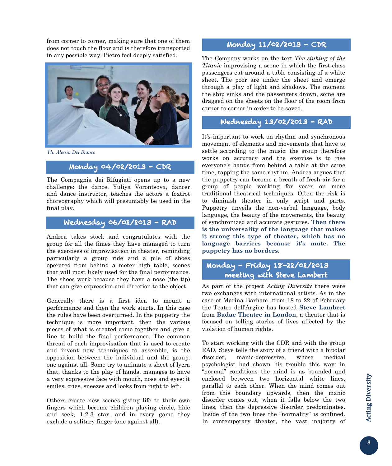from corner to corner, making sure that one of them does not touch the floor and is therefore transported in any possible way. Pietro feel deeply satisfied.



*Ph. Alessia Del Bianco*

#### Monday 04/02/2013 - CDR

The Compagnia dei Rifugiati opens up to a new challenge: the dance. Yuliya Vorontsova, dancer and dance instructor, teaches the actors a foxtrot choreography which will presumably be used in the final play.

# Wednesday 06/02/2013 - RAD

Andrea takes stock and congratulates with the group for all the times they have managed to turn the exercises of improvisation in theater, reminding particularly a group ride and a pile of shoes operated from behind a meter high table, scenes that will most likely used for the final performance. The shoes work because they have a nose (the tip) that can give expression and direction to the object.

Generally there is a first idea to mount a performance and then the work starts. In this case the rules have been overturned. In the puppetry the technique is more important, then the various pieces of what is created come together and give a line to build the final performance. The common thread of each improvisation that is used to create and invent new techniques to assemble, is the opposition between the individual and the group: one against all. Some try to animate a sheet of lycra that, thanks to the play of hands, manages to have a very expressive face with mouth, nose and eyes: it smiles, cries, sneezes and looks from right to left.

Others create new scenes giving life to their own fingers which become children playing circle, hide and seek, 1-2-3 star, and in every game they exclude a solitary finger (one against all).

### Monday 11/02/2013 - CDR

The Company works on the text *The sinking of the Titanic* improvising a scene in which the first-class passengers eat around a table consisting of a white sheet. The poor are under the sheet and emerge through a play of light and shadows. The moment the ship sinks and the passengers drown, some are dragged on the sheets on the floor of the room from corner to corner in order to be saved.

### Wednesday 13/02/2013 - RAD

It's important to work on rhythm and synchronous movement of elements and movements that have to settle according to the music: the group therefore works on accuracy and the exercise is to rise everyone's hands from behind a table at the same time, tapping the same rhythm. Andrea argues that the puppetry can become a breath of fresh air for a group of people working for years on more traditional theatrical techniques. Often the risk is to diminish theater in only script and parts. Puppetry unveils the non-verbal language, body language, the beauty of the movements, the beauty of synchronized and accurate gestures. **Then there is the universality of the language that makes it strong this type of theater, which has no language barriers because it's mute. The puppetry has no borders.**

#### Monday - Friday 18-22/02/2013 meeting with Steve Lambert

As part of the project *Acting Diversity* there were two exchanges with international artists. As in the case of Marina Barham, from 18 to 22 of February the Teatro dell'Argine has hosted **Steve Lambert** from **Badac Theatre in London**, a theater that is focused on telling stories of lives affected by the violation of human rights.

To start working with the CDR and with the group RAD, Steve tells the story of a friend with a bipolar disorder, manic-depressive, whose medical psychologist had shown his trouble this way: in "normal" conditions the mind is as bounded and enclosed between two horizontal white lines, parallel to each other. When the mind comes out from this boundary upwards, then the manic disorder comes out, when it falls below the two lines, then the depressive disorder predominates. Inside of the two lines the "normality" is confined. In contemporary theater, the vast majority of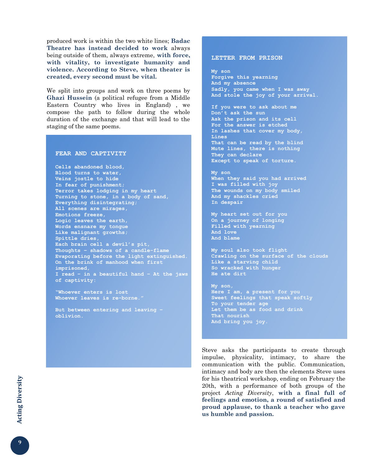produced work is within the two white lines; **Badac Theatre has instead decided to work** always being outside of them, always extreme, **with force, with vitality, to investigate humanity and violence. According to Steve, when theater is created, every second must be vital.**

We split into groups and work on three poems by **Ghazi Hussein** (a political refugee from a Middle Eastern Country who lives in England) , we compose the path to follow during the whole duration of the exchange and that will lead to the staging of the same poems.

#### **FEAR AND CAPTIVITY**

**Cells abandoned blood, Blood turns to water, Veins jostle to hide In fear of punishment; Terror takes lodging in my heart Turning to stone, in a body of sand, Everything disintegrating; All scenes are mirages, Emotions freeze, Logic leaves the earth, Words ensnare my tongue Like malignant growths; Spittle dries, Each brain cell a devil's pit, Thoughts – shadows of a candle-flame Evaporating before the light extinguished. On the brink of manhood when first imprisoned, I read – in a beautiful hand – At the jaws of captivity:**

**"Whoever enters is lost Whoever leaves is re-borne."**

**But between entering and leaving – oblivion.**

#### **LETTER FROM PRISON**

**My son Forgive this yearning And my absence Sadly, you came when I was away And stole the joy of your arrival.**

**If you were to ask about me Don't ask the sun Ask the prison and its cell For the answer is etched In lashes that cover my body, Lines That can be read by the blind Mute lines, there is nothing They can declare Except to speak of torture.**

**My son When they said you had arrived I was filled with joy The wounds on my body smiled And my shackles cried In despair**

**My heart set out for you On a journey of longing Filled with yearning And love And blame**

**My soul also took flight Crawling on the surface of the clouds Like a starving child So wracked with hunger He ate dirt**

**My son, Here I am, a present for you Sweet feelings that speak softly To your tender age Let them be as food and drink That nourish And bring you joy.**

Steve asks the participants to create through impulse, physicality, intimacy, to share the communication with the public. Communication, intimacy and body are then the elements Steve uses for his theatrical workshop, ending on February the 20th, with a performance of both groups of the project *Acting Diversity*, **with a final full of feelings and emotion, a round of satisfied and proud applause, to thank a teacher who gave us humble and passion.**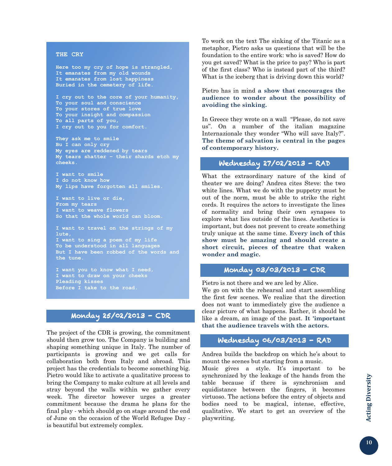#### **THE CRY**

**Here too my cry of hope is strangled, It emanates from my old wounds It emanates from lost happiness Buried in the cemetery of life.**

**I cry out to the core of your humanity, To your soul and conscience To your stores of true love To your insight and compassion To all parts of you, I cry out to you for comfort.**

**They ask me to smile Bu I can only cry My eyes are reddened by tears My tears shatter – their shards etch my cheeks.**

**I want to smile I do not know how My lips have forgotten all smiles.**

**I want to live or die, From my tears I want to weave flowers So that the whole world can bloom.**

**I want to travel on the strings of my lute, I want to sing a poem of my life To be understood in all languages But I have been robbed of the words and the tune.**

**I want you to know what I need, I want to draw on your cheeks Pleading kisses Before I take to the road.**

# Monday 25/02/2013 - CDR

The project of the CDR is growing, the commitment should then grow too. The Company is building and shaping something unique in Italy. The number of participants is growing and we get calls for collaboration both from Italy and abroad. This project has the credentials to become something big. Pietro would like to activate a qualitative process to bring the Company to make culture at all levels and stray beyond the walls within we gather every week. The director however urges a greater commitment because the drama he plans for the final play - which should go on stage around the end of June on the occasion of the World Refugee Day is beautiful but extremely complex.

To work on the text The sinking of the Titanic as a metaphor, Pietro asks us questions that will be the foundation to the entire work: who is saved? How do you get saved? What is the price to pay? Who is part of the first class? Who is instead part of the third? What is the iceberg that is driving down this world?

Pietro has in mind **a show that encourages the audience to wonder about the possibility of avoiding the sinking.**

In Greece they wrote on a wall "Please, do not save us". On a number of the italian magazine Internazionale they wonder "Who will save Italy?". **The theme of salvation is central in the pages of contemporary history.**

# Wednesday 27/02/2013 - RAD

What the extraordinary nature of the kind of theater we are doing? Andrea cites Steve: the two white lines. What we do with the puppetry must be out of the norm, must be able to strike the right cords. It requires the actors to investigate the lines of normality and bring their own synapses to explore what lies outside of the lines. Aesthetics is important, but does not prevent to create something truly unique at the same time. **Every inch of this show must be amazing and should create a short circuit, pieces of theatre that waken wonder and magic.**

#### Monday 03/03/2013 - CDR

Pietro is not there and we are led by Alice. We go on with the rehearsal and start assembling the first few scenes. We realize that the direction does not want to immediately give the audience a clear picture of what happens. Rather, it should be like a dream, an image of the past. **It 'important that the audience travels with the actors.**

#### Wednesday 06/03/2013 - RAD

Andrea builds the backdrop on which he's about to mount the scenes but starting from a music.

Music gives a style. It's important to be synchronized by the leakage of the hands from the table because if there is synchronism and equidistance between the fingers, it becomes virtuoso. The actions before the entry of objects and bodies need to be magical, intense, effective, qualitative. We start to get an overview of the playwriting.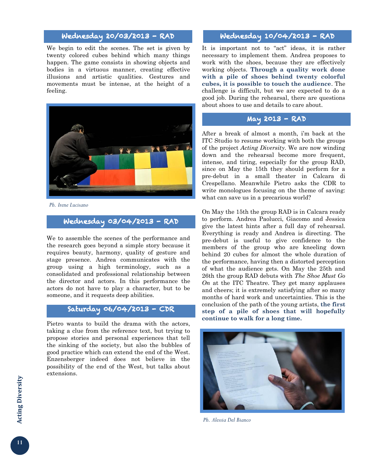# Wednesday 20/03/2013 - RAD

We begin to edit the scenes. The set is given by twenty colored cubes behind which many things happen. The game consists in showing objects and bodies in a virtuous manner, creating effective illusions and artistic qualities. Gestures and movements must be intense, at the height of a feeling.



*Ph. Irene Lucisano*

#### Wednesday 03/04/2013 - RAD

We to assemble the scenes of the performance and the research goes beyond a simple story because it requires beauty, harmony, quality of gesture and stage presence. Andrea communicates with the group using a high terminology, such as a consolidated and professional relationship between the director and actors. In this performance the actors do not have to play a character, but to be someone, and it requests deep abilities.

### Saturday 06/04/2013 - CDR

Pietro wants to build the drama with the actors, taking a clue from the reference text, but trying to propose stories and personal experiences that tell the sinking of the society, but also the bubbles of good practice which can extend the end of the West. Enzensberger indeed does not believe in the possibility of the end of the West, but talks about extensions.

# Wednesday 10/04/2013 - RAD

It is important not to "act" ideas, it is rather necessary to implement them. Andrea proposes to work with the shoes, because they are effectively working objects. **Through a quality work done with a pile of shoes behind twenty colorful cubes, it is possible to touch the audience**. The challenge is difficult, but we are expected to do a good job. During the rehearsal, there are questions about shoes to use and details to care about.

#### May 2013 - RAD

After a break of almost a month, i'm back at the ITC Studio to resume working with both the groups of the project *Acting Diversity*. We are now winding down and the rehearsal become more frequent, intense, and tiring, especially for the group RAD, since on May the 15th they should perform for a pre-debut in a small theater in Calcara di Crespellano. Meanwhile Pietro asks the CDR to write monologues focusing on the theme of saving: what can save us in a precarious world?

On May the 15th the group RAD is in Calcara ready to perform. Andrea Paolucci, Giacomo and Jessica give the latest hints after a full day of rehearsal. Everything is ready and Andrea is directing. The pre-debut is useful to give confidence to the members of the group who are kneeling down behind 20 cubes for almost the whole duration of the performance, having then a distorted perception of what the audience gets. On May the 25th and 26th the group RAD debuts with *The Shoe Must Go On* at the ITC Theatre. They get many applauses and cheers; it is extremely satisfying after so many months of hard work and uncertainties. This is the conclusion of the path of the young artists, **the first step of a pile of shoes that will hopefully continue to walk for a long time.**



*Ph. Alessia Del Bianco*